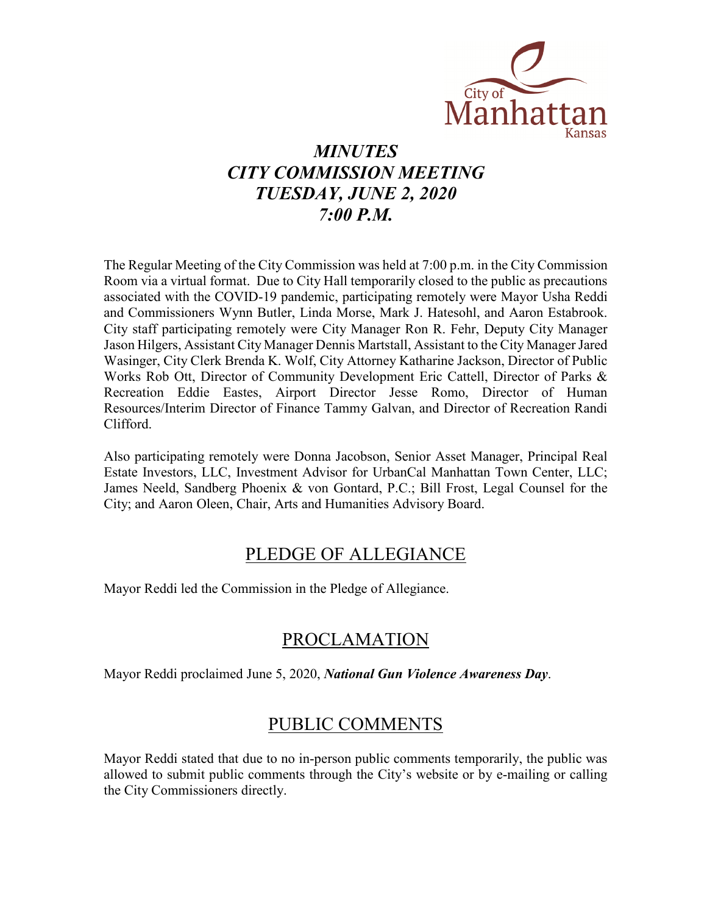

# *MINUTES CITY COMMISSION MEETING TUESDAY, JUNE 2, 2020 7:00 P.M.*

The Regular Meeting of the City Commission was held at 7:00 p.m. in the City Commission Room via a virtual format. Due to City Hall temporarily closed to the public as precautions associated with the COVID-19 pandemic, participating remotely were Mayor Usha Reddi and Commissioners Wynn Butler, Linda Morse, Mark J. Hatesohl, and Aaron Estabrook. City staff participating remotely were City Manager Ron R. Fehr, Deputy City Manager Jason Hilgers, Assistant City Manager Dennis Martstall, Assistant to the City Manager Jared Wasinger, City Clerk Brenda K. Wolf, City Attorney Katharine Jackson, Director of Public Works Rob Ott, Director of Community Development Eric Cattell, Director of Parks & Recreation Eddie Eastes, Airport Director Jesse Romo, Director of Human Resources/Interim Director of Finance Tammy Galvan, and Director of Recreation Randi Clifford.

Also participating remotely were Donna Jacobson, Senior Asset Manager, Principal Real Estate Investors, LLC, Investment Advisor for UrbanCal Manhattan Town Center, LLC; James Neeld, Sandberg Phoenix & von Gontard, P.C.; Bill Frost, Legal Counsel for the City; and Aaron Oleen, Chair, Arts and Humanities Advisory Board.

### PLEDGE OF ALLEGIANCE

Mayor Reddi led the Commission in the Pledge of Allegiance.

## PROCLAMATION

Mayor Reddi proclaimed June 5, 2020, *National Gun Violence Awareness Day*.

### PUBLIC COMMENTS

Mayor Reddi stated that due to no in-person public comments temporarily, the public was allowed to submit public comments through the City's website or by e-mailing or calling the City Commissioners directly.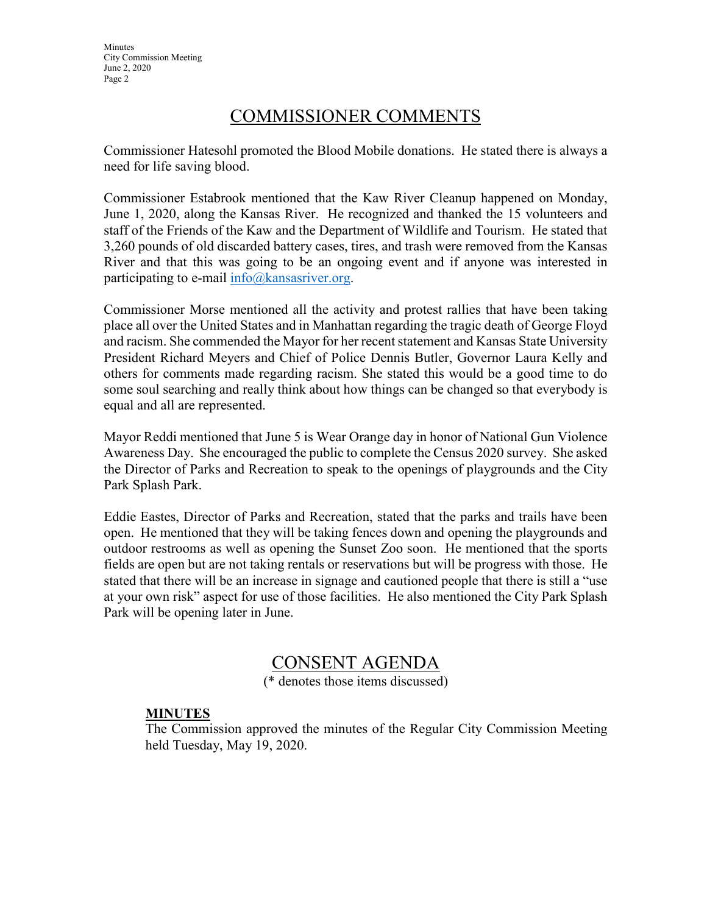**Minutes** City Commission Meeting June 2, 2020 Page 2

### COMMISSIONER COMMENTS

Commissioner Hatesohl promoted the Blood Mobile donations. He stated there is always a need for life saving blood.

Commissioner Estabrook mentioned that the Kaw River Cleanup happened on Monday, June 1, 2020, along the Kansas River. He recognized and thanked the 15 volunteers and staff of the Friends of the Kaw and the Department of Wildlife and Tourism. He stated that 3,260 pounds of old discarded battery cases, tires, and trash were removed from the Kansas River and that this was going to be an ongoing event and if anyone was interested in participating to e-mail  $info@kansasriver.org$ .

Commissioner Morse mentioned all the activity and protest rallies that have been taking place all over the United States and in Manhattan regarding the tragic death of George Floyd and racism. She commended the Mayor for her recent statement and Kansas State University President Richard Meyers and Chief of Police Dennis Butler, Governor Laura Kelly and others for comments made regarding racism. She stated this would be a good time to do some soul searching and really think about how things can be changed so that everybody is equal and all are represented.

Mayor Reddi mentioned that June 5 is Wear Orange day in honor of National Gun Violence Awareness Day. She encouraged the public to complete the Census 2020 survey. She asked the Director of Parks and Recreation to speak to the openings of playgrounds and the City Park Splash Park.

Eddie Eastes, Director of Parks and Recreation, stated that the parks and trails have been open. He mentioned that they will be taking fences down and opening the playgrounds and outdoor restrooms as well as opening the Sunset Zoo soon. He mentioned that the sports fields are open but are not taking rentals or reservations but will be progress with those. He stated that there will be an increase in signage and cautioned people that there is still a "use at your own risk" aspect for use of those facilities. He also mentioned the City Park Splash Park will be opening later in June.

### CONSENT AGENDA

(\* denotes those items discussed)

### **MINUTES**

The Commission approved the minutes of the Regular City Commission Meeting held Tuesday, May 19, 2020.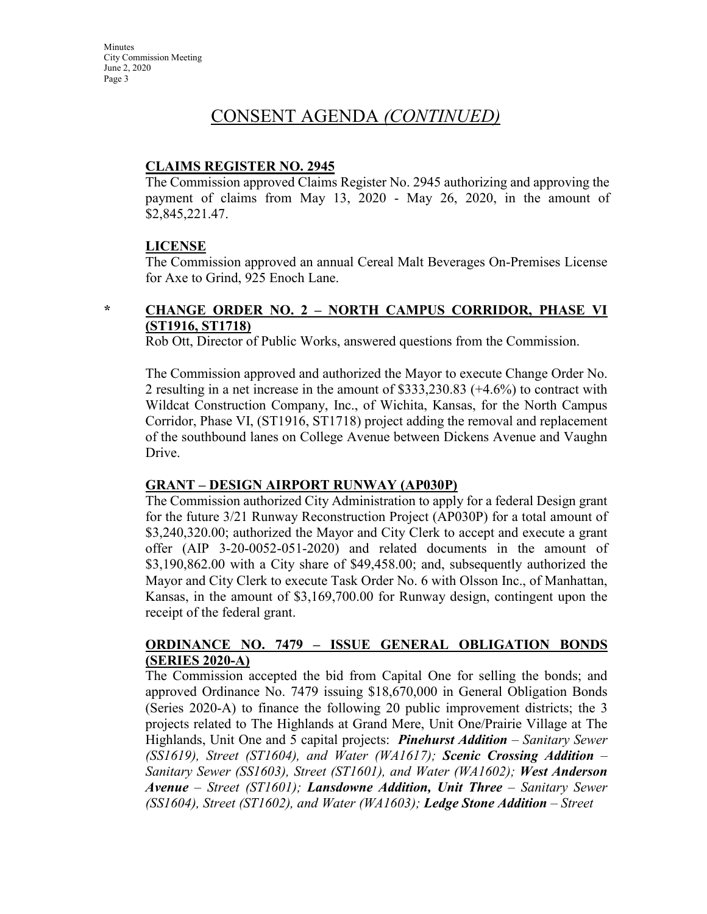### CONSENT AGENDA *(CONTINUED)*

#### **CLAIMS REGISTER NO. 2945**

The Commission approved Claims Register No. 2945 authorizing and approving the payment of claims from May 13, 2020 - May 26, 2020, in the amount of \$2,845,221.47.

#### **LICENSE**

The Commission approved an annual Cereal Malt Beverages On-Premises License for Axe to Grind, 925 Enoch Lane.

### **\* CHANGE ORDER NO. 2 – NORTH CAMPUS CORRIDOR, PHASE VI (ST1916, ST1718)**

Rob Ott, Director of Public Works, answered questions from the Commission.

The Commission approved and authorized the Mayor to execute Change Order No. 2 resulting in a net increase in the amount of \$333,230.83 (+4.6%) to contract with Wildcat Construction Company, Inc., of Wichita, Kansas, for the North Campus Corridor, Phase VI, (ST1916, ST1718) project adding the removal and replacement of the southbound lanes on College Avenue between Dickens Avenue and Vaughn Drive.

### **GRANT – DESIGN AIRPORT RUNWAY (AP030P)**

The Commission authorized City Administration to apply for a federal Design grant for the future 3/21 Runway Reconstruction Project (AP030P) for a total amount of \$3,240,320.00; authorized the Mayor and City Clerk to accept and execute a grant offer (AIP 3-20-0052-051-2020) and related documents in the amount of \$3,190,862.00 with a City share of \$49,458.00; and, subsequently authorized the Mayor and City Clerk to execute Task Order No. 6 with Olsson Inc., of Manhattan, Kansas, in the amount of \$3,169,700.00 for Runway design, contingent upon the receipt of the federal grant.

#### **ORDINANCE NO. 7479 – ISSUE GENERAL OBLIGATION BONDS (SERIES 2020-A)**

The Commission accepted the bid from Capital One for selling the bonds; and approved Ordinance No. 7479 issuing \$18,670,000 in General Obligation Bonds (Series 2020-A) to finance the following 20 public improvement districts; the 3 projects related to The Highlands at Grand Mere, Unit One/Prairie Village at The Highlands, Unit One and 5 capital projects: *Pinehurst Addition – Sanitary Sewer (SS1619), Street (ST1604), and Water (WA1617); Scenic Crossing Addition – Sanitary Sewer (SS1603), Street (ST1601), and Water (WA1602); West Anderson Avenue – Street (ST1601); Lansdowne Addition, Unit Three – Sanitary Sewer (SS1604), Street (ST1602), and Water (WA1603); Ledge Stone Addition – Street*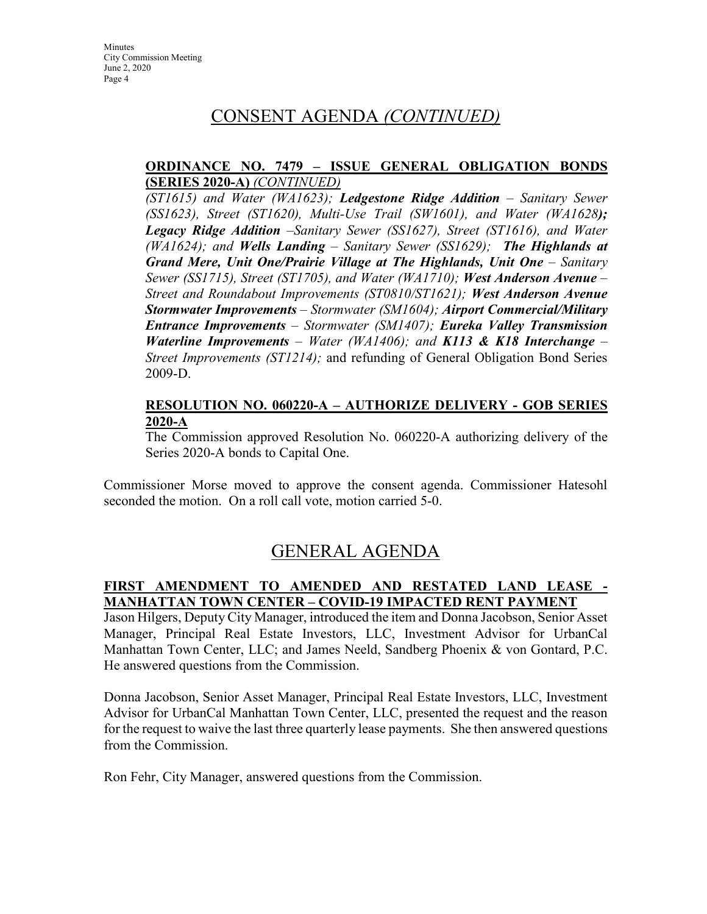### CONSENT AGENDA *(CONTINUED)*

#### **ORDINANCE NO. 7479 – ISSUE GENERAL OBLIGATION BONDS (SERIES 2020-A)** *(CONTINUED)*

*(ST1615) and Water (WA1623); Ledgestone Ridge Addition – Sanitary Sewer (SS1623), Street (ST1620), Multi-Use Trail (SW1601), and Water (WA1628); Legacy Ridge Addition –Sanitary Sewer (SS1627), Street (ST1616), and Water (WA1624); and Wells Landing – Sanitary Sewer (SS1629); The Highlands at Grand Mere, Unit One/Prairie Village at The Highlands, Unit One – Sanitary Sewer (SS1715), Street (ST1705), and Water (WA1710); West Anderson Avenue – Street and Roundabout Improvements (ST0810/ST1621); West Anderson Avenue Stormwater Improvements – Stormwater (SM1604); Airport Commercial/Military Entrance Improvements – Stormwater (SM1407); Eureka Valley Transmission Waterline Improvements – Water (WA1406); and K113 & K18 Interchange – Street Improvements (ST1214);* and refunding of General Obligation Bond Series 2009-D.

#### **RESOLUTION NO. 060220-A – AUTHORIZE DELIVERY - GOB SERIES 2020-A**

The Commission approved Resolution No. 060220-A authorizing delivery of the Series 2020-A bonds to Capital One.

Commissioner Morse moved to approve the consent agenda. Commissioner Hatesohl seconded the motion. On a roll call vote, motion carried 5-0.

## GENERAL AGENDA

### **FIRST AMENDMENT TO AMENDED AND RESTATED LAND LEASE - MANHATTAN TOWN CENTER – COVID-19 IMPACTED RENT PAYMENT**

Jason Hilgers, Deputy City Manager, introduced the item and Donna Jacobson, Senior Asset Manager, Principal Real Estate Investors, LLC, Investment Advisor for UrbanCal Manhattan Town Center, LLC; and James Neeld, Sandberg Phoenix & von Gontard, P.C. He answered questions from the Commission.

Donna Jacobson, Senior Asset Manager, Principal Real Estate Investors, LLC, Investment Advisor for UrbanCal Manhattan Town Center, LLC, presented the request and the reason for the request to waive the last three quarterly lease payments. She then answered questions from the Commission.

Ron Fehr, City Manager, answered questions from the Commission.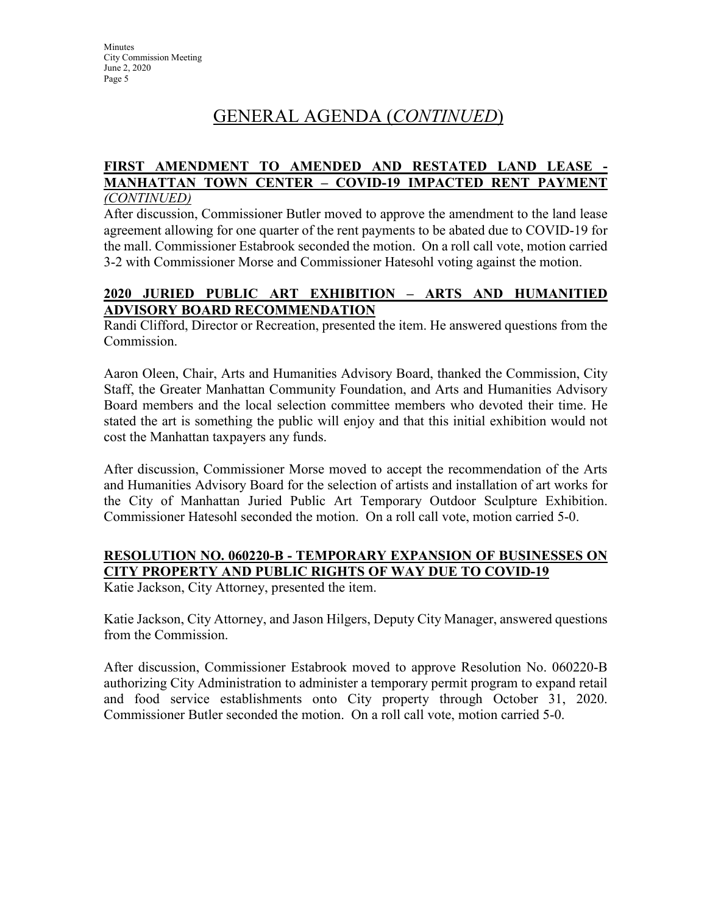# GENERAL AGENDA (*CONTINUED*)

#### **FIRST AMENDMENT TO AMENDED AND RESTATED LAND LEASE - MANHATTAN TOWN CENTER – COVID-19 IMPACTED RENT PAYMENT** *(CONTINUED)*

After discussion, Commissioner Butler moved to approve the amendment to the land lease agreement allowing for one quarter of the rent payments to be abated due to COVID-19 for the mall. Commissioner Estabrook seconded the motion. On a roll call vote, motion carried 3-2 with Commissioner Morse and Commissioner Hatesohl voting against the motion.

### **2020 JURIED PUBLIC ART EXHIBITION – ARTS AND HUMANITIED ADVISORY BOARD RECOMMENDATION**

Randi Clifford, Director or Recreation, presented the item. He answered questions from the Commission.

Aaron Oleen, Chair, Arts and Humanities Advisory Board, thanked the Commission, City Staff, the Greater Manhattan Community Foundation, and Arts and Humanities Advisory Board members and the local selection committee members who devoted their time. He stated the art is something the public will enjoy and that this initial exhibition would not cost the Manhattan taxpayers any funds.

After discussion, Commissioner Morse moved to accept the recommendation of the Arts and Humanities Advisory Board for the selection of artists and installation of art works for the City of Manhattan Juried Public Art Temporary Outdoor Sculpture Exhibition. Commissioner Hatesohl seconded the motion. On a roll call vote, motion carried 5-0.

### **RESOLUTION NO. 060220-B - TEMPORARY EXPANSION OF BUSINESSES ON CITY PROPERTY AND PUBLIC RIGHTS OF WAY DUE TO COVID-19**

Katie Jackson, City Attorney, presented the item.

Katie Jackson, City Attorney, and Jason Hilgers, Deputy City Manager, answered questions from the Commission.

After discussion, Commissioner Estabrook moved to approve Resolution No. 060220-B authorizing City Administration to administer a temporary permit program to expand retail and food service establishments onto City property through October 31, 2020. Commissioner Butler seconded the motion. On a roll call vote, motion carried 5-0.